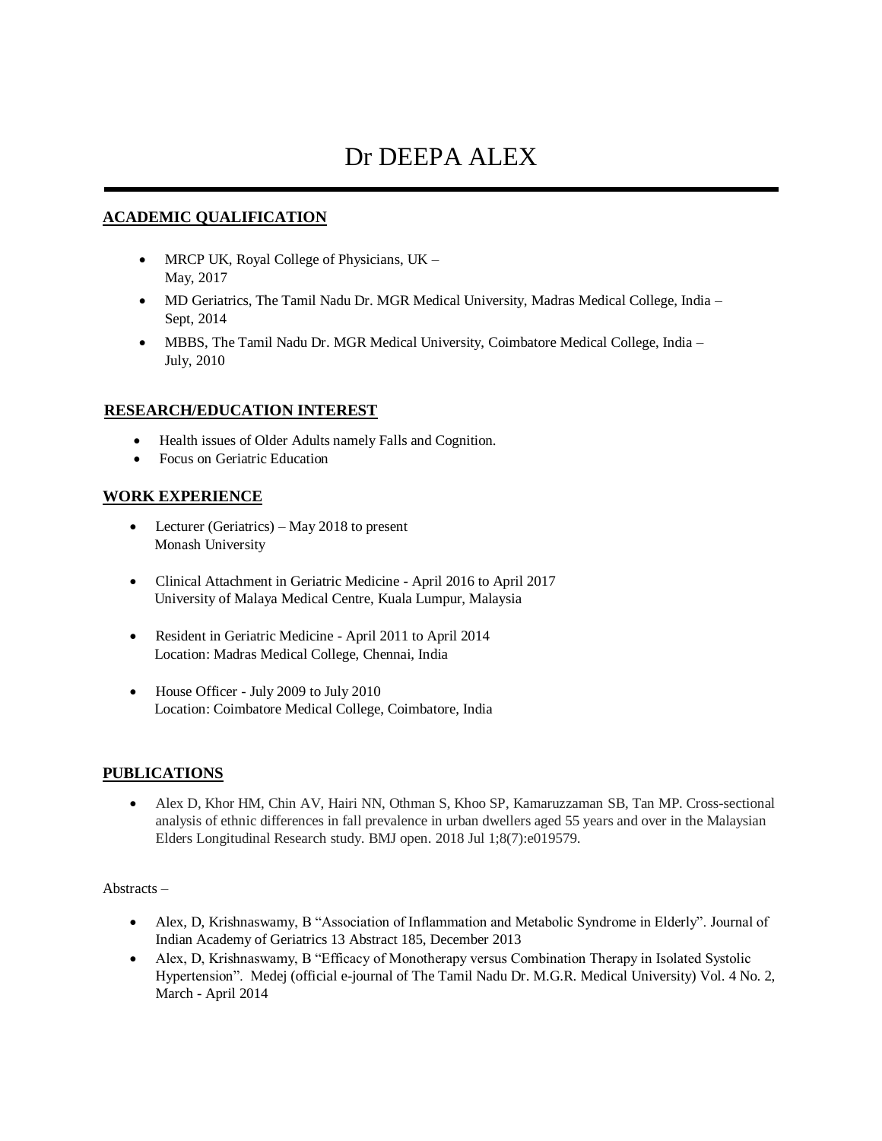# Dr DEEPA ALEX

### **ACADEMIC QUALIFICATION**

- MRCP UK, Royal College of Physicians, UK -May, 2017
- MD Geriatrics, The Tamil Nadu Dr. MGR Medical University, Madras Medical College, India Sept, 2014
- MBBS, The Tamil Nadu Dr. MGR Medical University, Coimbatore Medical College, India July, 2010

# **RESEARCH/EDUCATION INTEREST**

- Health issues of Older Adults namely Falls and Cognition.
- Focus on Geriatric Education

#### **WORK EXPERIENCE**

- Lecturer (Geriatrics) May 2018 to present Monash University
- Clinical Attachment in Geriatric Medicine April 2016 to April 2017 University of Malaya Medical Centre, Kuala Lumpur, Malaysia
- Resident in Geriatric Medicine April 2011 to April 2014 Location: Madras Medical College, Chennai, India
- House Officer July 2009 to July 2010 Location: Coimbatore Medical College, Coimbatore, India

#### **PUBLICATIONS**

 Alex D, Khor HM, Chin AV, Hairi NN, Othman S, Khoo SP, Kamaruzzaman SB, Tan MP. Cross-sectional analysis of ethnic differences in fall prevalence in urban dwellers aged 55 years and over in the Malaysian Elders Longitudinal Research study. BMJ open. 2018 Jul 1;8(7):e019579.

#### Abstracts –

- Alex, D, Krishnaswamy, B "Association of Inflammation and Metabolic Syndrome in Elderly". Journal of Indian Academy of Geriatrics 13 Abstract 185, December 2013
- Alex, D, Krishnaswamy, B "Efficacy of Monotherapy versus Combination Therapy in Isolated Systolic Hypertension". Medej (official e-journal of The Tamil Nadu Dr. M.G.R. Medical University) Vol. 4 No. 2, March - April 2014